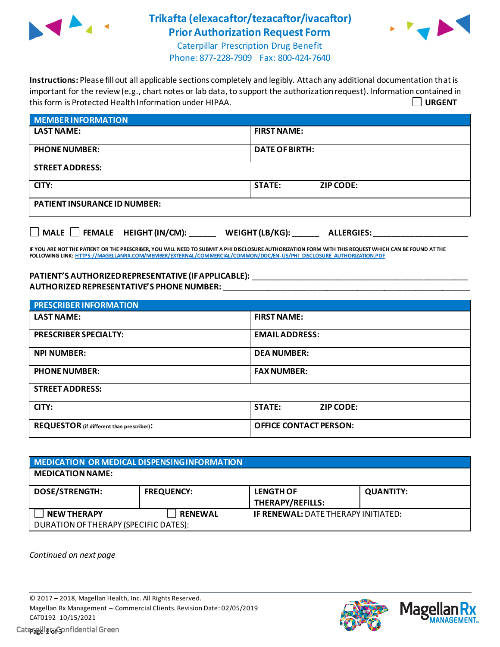

## **Trikafta (elexacaftor/tezacaftor/ivacaftor) Prior Authorization Request Form**



Caterpillar Prescription Drug Benefit Phone: 877-228-7909 Fax: 800-424-7640

**Instructions:** Please fill out all applicable sections completely and legibly. Attach any additional documentation that is important for the review (e.g., chart notes or lab data, to support the authorization request). Information contained in this form is Protected Health Information under HIPAA. **URGENT**

| <b>MEMBER INFORMATION</b>           |                                   |
|-------------------------------------|-----------------------------------|
| <b>LAST NAME:</b>                   | <b>FIRST NAME:</b>                |
| <b>PHONE NUMBER:</b>                | <b>DATE OF BIRTH:</b>             |
| <b>STREET ADDRESS:</b>              |                                   |
| CITY:                               | <b>STATE:</b><br><b>ZIP CODE:</b> |
| <b>PATIENT INSURANCE ID NUMBER:</b> |                                   |
|                                     |                                   |

**MALE FEMALE HEIGHT (IN/CM): \_\_\_\_\_\_ WEIGHT (LB/KG): \_\_\_\_\_\_ ALLERGIES: \_\_\_\_\_\_\_\_\_\_\_\_\_\_\_\_\_\_\_\_\_**

**IF YOU ARE NOT THE PATIENT OR THE PRESCRIBER, YOU WILL NEED TO SUBMIT A PHI DISCLOSURE AUTHORIZATION FORM WITH THIS REQUEST WHICH CAN BE FOUND AT THE FOLLOWING LINK[: HTTPS://MAGELLANRX.COM/MEMBER/EXTERNAL/COMMERCIAL/COMMON/DOC/EN-US/PHI\\_DISCLOSURE\\_AUTHORIZATION.PDF](https://magellanrx.com/member/external/commercial/common/doc/en-us/PHI_Disclosure_Authorization.pdf)**

## PATIENT'S AUTHORIZED REPRESENTATIVE (IF APPLICABLE): **\_\_\_\_\_\_\_\_\_\_\_\_\_\_\_\_\_\_\_\_\_\_\_\_\_\_ AUTHORIZED REPRESENTATIVE'S PHONE NUMBER:** \_\_\_\_\_\_\_\_\_\_\_\_\_\_\_\_\_\_\_\_\_\_\_\_\_\_\_\_\_\_\_\_\_\_\_\_\_\_\_\_\_\_\_\_\_\_\_\_\_\_\_\_\_\_\_

| <b>PRESCRIBER INFORMATION</b>                    |                                   |  |  |
|--------------------------------------------------|-----------------------------------|--|--|
| <b>LAST NAME:</b>                                | <b>FIRST NAME:</b>                |  |  |
| <b>PRESCRIBER SPECIALTY:</b>                     | <b>EMAIL ADDRESS:</b>             |  |  |
| <b>NPI NUMBER:</b>                               | <b>DEA NUMBER:</b>                |  |  |
| <b>PHONE NUMBER:</b>                             | <b>FAX NUMBER:</b>                |  |  |
| <b>STREET ADDRESS:</b>                           |                                   |  |  |
| CITY:                                            | <b>STATE:</b><br><b>ZIP CODE:</b> |  |  |
| <b>REQUESTOR</b> (if different than prescriber): | <b>OFFICE CONTACT PERSON:</b>     |  |  |

| MEDICATION OR MEDICAL DISPENSING INFORMATION |                   |                |                                            |                  |  |
|----------------------------------------------|-------------------|----------------|--------------------------------------------|------------------|--|
| <b>MEDICATION NAME:</b>                      |                   |                |                                            |                  |  |
| <b>DOSE/STRENGTH:</b>                        | <b>FREQUENCY:</b> |                | <b>LENGTH OF</b>                           | <b>QUANTITY:</b> |  |
|                                              |                   |                | <b>THERAPY/REFILLS:</b>                    |                  |  |
| <b>NEW THERAPY</b>                           |                   | <b>RENEWAL</b> | <b>IF RENEWAL: DATE THERAPY INITIATED:</b> |                  |  |
| DURATION OF THERAPY (SPECIFIC DATES):        |                   |                |                                            |                  |  |

*Continued on next page*

© 2017 – 2018, Magellan Health, Inc. All Rights Reserved. Magellan Rx Management – Commercial Clients. Revision Date: 02/05/2019 CAT0192 10/15/2021 Caterpillar: Confidential Green **Page 1 of 3**

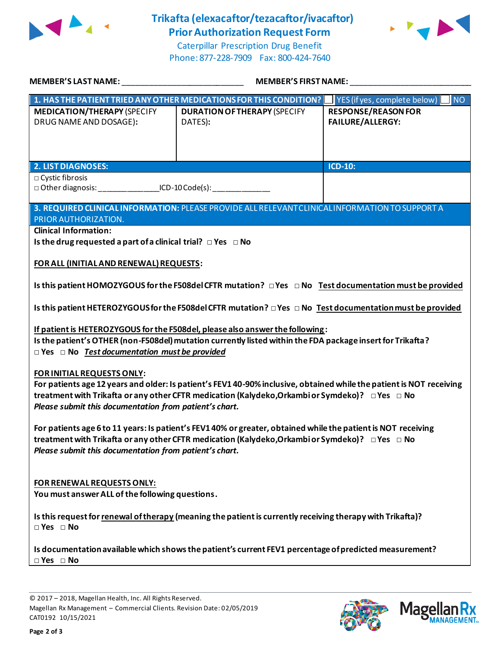

## **Trikafta (elexacaftor/tezacaftor/ivacaftor) Prior Authorization Request Form**





Caterpillar Prescription Drug Benefit Phone: 877-228-7909 Fax: 800-424-7640

| MEMBER'S LAST NAME:                                                                                                                                                                                                                                                                                             | MEMBER'S FIRST NAME:                                                                                                 |                                                       |  |  |
|-----------------------------------------------------------------------------------------------------------------------------------------------------------------------------------------------------------------------------------------------------------------------------------------------------------------|----------------------------------------------------------------------------------------------------------------------|-------------------------------------------------------|--|--|
|                                                                                                                                                                                                                                                                                                                 | 1. HAS THE PATIENT TRIED ANY OTHER MEDICATIONS FOR THIS CONDITION?   YES (if yes, complete below)                    | NO <sub>1</sub>                                       |  |  |
| <b>MEDICATION/THERAPY (SPECIFY</b><br>DRUG NAME AND DOSAGE):                                                                                                                                                                                                                                                    | <b>DURATION OF THERAPY (SPECIFY</b><br>DATES):                                                                       | <b>RESPONSE/REASON FOR</b><br><b>FAILURE/ALLERGY:</b> |  |  |
| <b>2. LIST DIAGNOSES:</b>                                                                                                                                                                                                                                                                                       |                                                                                                                      | <b>ICD-10:</b>                                        |  |  |
| □ Cystic fibrosis<br>□ Other diagnosis: ___________________ICD-10 Code(s): _________________________                                                                                                                                                                                                            |                                                                                                                      |                                                       |  |  |
| PRIOR AUTHORIZATION.                                                                                                                                                                                                                                                                                            | 3. REQUIRED CLINICAL INFORMATION: PLEASE PROVIDE ALL RELEVANT CLINICAL INFORMATION TO SUPPORT A                      |                                                       |  |  |
| <b>Clinical Information:</b>                                                                                                                                                                                                                                                                                    |                                                                                                                      |                                                       |  |  |
| Is the drug requested a part of a clinical trial? $\Box$ Yes $\Box$ No                                                                                                                                                                                                                                          |                                                                                                                      |                                                       |  |  |
| FOR ALL (INITIAL AND RENEWAL) REQUESTS:                                                                                                                                                                                                                                                                         |                                                                                                                      |                                                       |  |  |
| Is this patient HOMOZYGOUS for the F508del CFTR mutation? $\Box$ Yes $\Box$ No Test documentation must be provided                                                                                                                                                                                              |                                                                                                                      |                                                       |  |  |
|                                                                                                                                                                                                                                                                                                                 | Is this patient HETEROZYGOUS for the F508del CFTR mutation? $\Box$ Yes $\Box$ No Test documentation must be provided |                                                       |  |  |
| If patient is HETEROZYGOUS for the F508del, please also answer the following:<br>Is the patient's OTHER (non-F508del) mutation currently listed within the FDA package insert for Trikafta?<br>$\Box$ Yes $\Box$ No Test documentation must be provided                                                         |                                                                                                                      |                                                       |  |  |
| FOR INITIAL REQUESTS ONLY:<br>For patients age 12 years and older: Is patient's FEV1 40-90% inclusive, obtained while the patient is NOT receiving<br>treatment with Trikafta or any other CFTR medication (Kalydeko, Orkambi or Symdeko)? □ Yes □ No<br>Please submit this documentation from patient's chart. |                                                                                                                      |                                                       |  |  |
| For patients age 6 to 11 years: Is patient's FEV1 40% or greater, obtained while the patient is NOT receiving<br>treatment with Trikafta or any other CFTR medication (Kalydeko,Orkambi or Symdeko)? □ Yes □ No<br>Please submit this documentation from patient's chart.                                       |                                                                                                                      |                                                       |  |  |
| FOR RENEWAL REQUESTS ONLY:<br>You must answer ALL of the following questions.                                                                                                                                                                                                                                   |                                                                                                                      |                                                       |  |  |
| Is this request for renewal of therapy (meaning the patient is currently receiving therapy with Trikafta)?<br>$\Box$ Yes $\Box$ No                                                                                                                                                                              |                                                                                                                      |                                                       |  |  |
| Is documentation available which shows the patient's current FEV1 percentage of predicted measurement?<br>$\Box$ Yes $\Box$ No                                                                                                                                                                                  |                                                                                                                      |                                                       |  |  |